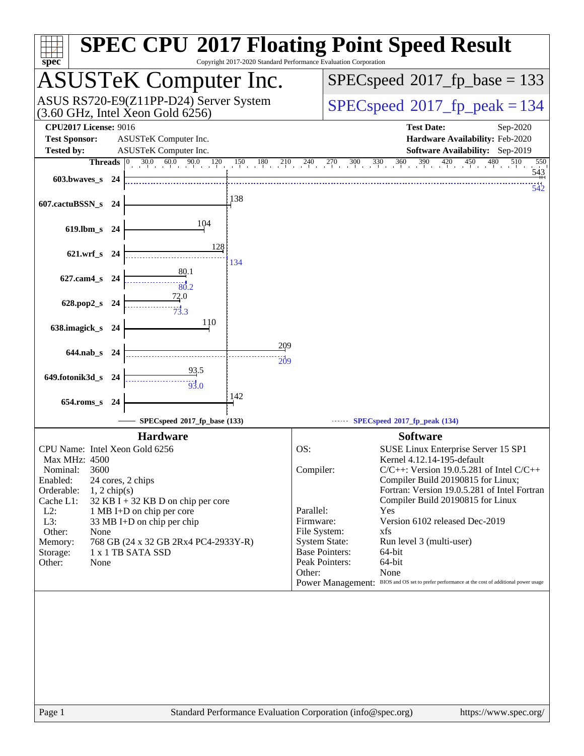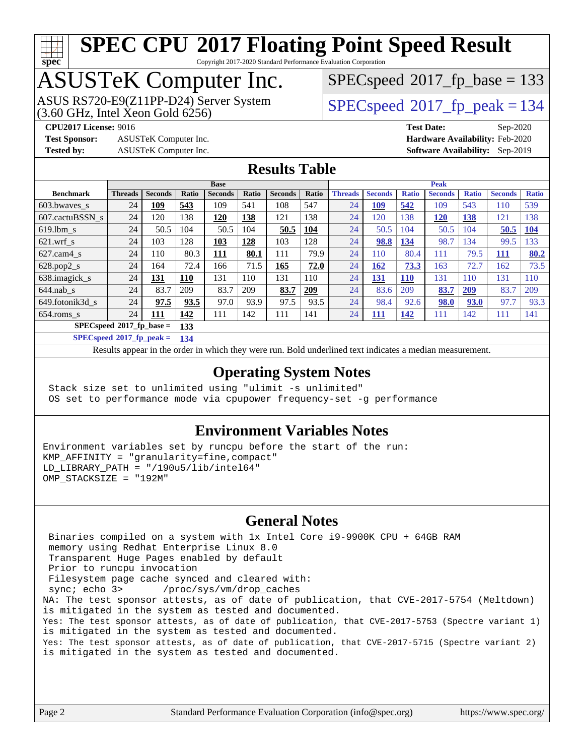

Copyright 2017-2020 Standard Performance Evaluation Corporation

## ASUSTeK Computer Inc.

 $(3.60$  GHz, Intel Xeon Gold  $6256$ ) ASUS RS720-E9(Z11PP-D24) Server System  $SPECspeed@2017$  $SPECspeed@2017$  fp\_peak = 134

 $SPEC speed^{\circ}2017\_fp\_base = 133$ 

**[Test Sponsor:](http://www.spec.org/auto/cpu2017/Docs/result-fields.html#TestSponsor)** ASUSTeK Computer Inc. **[Hardware Availability:](http://www.spec.org/auto/cpu2017/Docs/result-fields.html#HardwareAvailability)** Feb-2020

**[CPU2017 License:](http://www.spec.org/auto/cpu2017/Docs/result-fields.html#CPU2017License)** 9016 **[Test Date:](http://www.spec.org/auto/cpu2017/Docs/result-fields.html#TestDate)** Sep-2020 **[Tested by:](http://www.spec.org/auto/cpu2017/Docs/result-fields.html#Testedby)** ASUSTeK Computer Inc. **[Software Availability:](http://www.spec.org/auto/cpu2017/Docs/result-fields.html#SoftwareAvailability)** Sep-2019

### **[Results Table](http://www.spec.org/auto/cpu2017/Docs/result-fields.html#ResultsTable)**

|                             |                |                | <b>Peak</b><br><b>Base</b> |                |       |                |       |                |                |              |                |              |                |              |
|-----------------------------|----------------|----------------|----------------------------|----------------|-------|----------------|-------|----------------|----------------|--------------|----------------|--------------|----------------|--------------|
| <b>Benchmark</b>            | <b>Threads</b> | <b>Seconds</b> | Ratio                      | <b>Seconds</b> | Ratio | <b>Seconds</b> | Ratio | <b>Threads</b> | <b>Seconds</b> | <b>Ratio</b> | <b>Seconds</b> | <b>Ratio</b> | <b>Seconds</b> | <b>Ratio</b> |
| 603.bwaves_s                | 24             | 109            | 543                        | 109            | 541   | 108            | 547   | 24             | 109            | 542          | 109            | 543          | 110            | 539          |
| 607.cactuBSSN s             | 24             | 120            | 138                        | 120            | 138   | 121            | 138   | 24             | 120            | 138          | <u>120</u>     | 138          | 121            | 138          |
| $619.1$ bm s                | 24             | 50.5           | 104                        | 50.5           | 104   | 50.5           | 104   | 24             | 50.5           | 104          | 50.5           | 104          | 50.5           | 104          |
| $621$ .wrf s                | 24             | 103            | 128                        | 103            | 128   | 103            | 128   | 24             | 98.8           | 134          | 98.7           | 134          | 99.5           | 133          |
| $627$ .cam4 s               | 24             | 110            | 80.3                       | 111            | 80.1  | 111            | 79.9  | 24             | 110            | 80.4         | 111            | 79.5         | 111            | 80.2         |
| $628.pop2_s$                | 24             | 164            | 72.4                       | 166            | 71.5  | 165            | 72.0  | 24             | 162            | 73.3         | 163            | 72.7         | 162            | 73.5         |
| 638.imagick_s               | 24             | 131            | 110                        | 131            | 110   | 131            | 110   | 24             | <u>131</u>     | <b>110</b>   | 131            | <b>110</b>   | 131            | 110          |
| $644$ .nab s                | 24             | 83.7           | 209                        | 83.7           | 209   | 83.7           | 209   | 24             | 83.6           | 209          | 83.7           | 209          | 83.7           | 209          |
| 649.fotonik3d s             | 24             | 97.5           | 93.5                       | 97.0           | 93.9  | 97.5           | 93.5  | 24             | 98.4           | 92.6         | <b>98.0</b>    | 93.0         | 97.7           | 93.3         |
| $654$ .roms s               | 24             | 111            | 142                        | 111            | 142   | 111            | 141   | 24             | 111            | 142          | 111            | 142          | 111            | 141          |
| $SPECspeed*2017_fp\_base =$ |                |                | 133                        |                |       |                |       |                |                |              |                |              |                |              |

**[SPECspeed](http://www.spec.org/auto/cpu2017/Docs/result-fields.html#SPECspeed2017fppeak)[2017\\_fp\\_peak =](http://www.spec.org/auto/cpu2017/Docs/result-fields.html#SPECspeed2017fppeak) 134**

Results appear in the [order in which they were run.](http://www.spec.org/auto/cpu2017/Docs/result-fields.html#RunOrder) Bold underlined text [indicates a median measurement](http://www.spec.org/auto/cpu2017/Docs/result-fields.html#Median).

### **[Operating System Notes](http://www.spec.org/auto/cpu2017/Docs/result-fields.html#OperatingSystemNotes)**

 Stack size set to unlimited using "ulimit -s unlimited" OS set to performance mode via cpupower frequency-set -g performance

### **[Environment Variables Notes](http://www.spec.org/auto/cpu2017/Docs/result-fields.html#EnvironmentVariablesNotes)**

Environment variables set by runcpu before the start of the run: KMP\_AFFINITY = "granularity=fine,compact" LD LIBRARY PATH =  $\sqrt{190u5/lib/intel64}$ " OMP\_STACKSIZE = "192M"

### **[General Notes](http://www.spec.org/auto/cpu2017/Docs/result-fields.html#GeneralNotes)**

 Binaries compiled on a system with 1x Intel Core i9-9900K CPU + 64GB RAM memory using Redhat Enterprise Linux 8.0 Transparent Huge Pages enabled by default Prior to runcpu invocation Filesystem page cache synced and cleared with: sync; echo 3> /proc/sys/vm/drop\_caches NA: The test sponsor attests, as of date of publication, that CVE-2017-5754 (Meltdown) is mitigated in the system as tested and documented. Yes: The test sponsor attests, as of date of publication, that CVE-2017-5753 (Spectre variant 1) is mitigated in the system as tested and documented. Yes: The test sponsor attests, as of date of publication, that CVE-2017-5715 (Spectre variant 2) is mitigated in the system as tested and documented.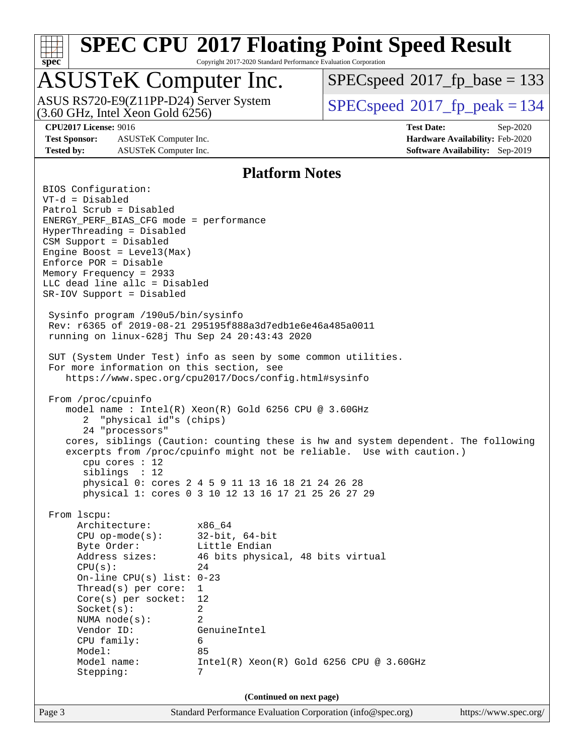

Copyright 2017-2020 Standard Performance Evaluation Corporation

### ASUSTeK Computer Inc.

ASUS RS720-E9(Z11PP-D24) Server System<br>(3.60 GHz, Intel Xeon Gold 6256)

[SPECspeed](http://www.spec.org/auto/cpu2017/Docs/result-fields.html#SPECspeed2017fpbase)<sup>®</sup>2017 fp base = 133

[SPECspeed](http://www.spec.org/auto/cpu2017/Docs/result-fields.html#SPECspeed2017fppeak)<sup>®</sup>2017 fp peak = 134

**[Test Sponsor:](http://www.spec.org/auto/cpu2017/Docs/result-fields.html#TestSponsor)** ASUSTeK Computer Inc. **[Hardware Availability:](http://www.spec.org/auto/cpu2017/Docs/result-fields.html#HardwareAvailability)** Feb-2020 **[Tested by:](http://www.spec.org/auto/cpu2017/Docs/result-fields.html#Testedby)** ASUSTeK Computer Inc. **[Software Availability:](http://www.spec.org/auto/cpu2017/Docs/result-fields.html#SoftwareAvailability)** Sep-2019

**[CPU2017 License:](http://www.spec.org/auto/cpu2017/Docs/result-fields.html#CPU2017License)** 9016 **[Test Date:](http://www.spec.org/auto/cpu2017/Docs/result-fields.html#TestDate)** Sep-2020

### **[Platform Notes](http://www.spec.org/auto/cpu2017/Docs/result-fields.html#PlatformNotes)**

Page 3 Standard Performance Evaluation Corporation [\(info@spec.org\)](mailto:info@spec.org) <https://www.spec.org/> BIOS Configuration: VT-d = Disabled Patrol Scrub = Disabled ENERGY\_PERF\_BIAS\_CFG mode = performance HyperThreading = Disabled CSM Support = Disabled Engine Boost = Level3(Max) Enforce POR = Disable Memory Frequency = 2933 LLC dead line allc = Disabled SR-IOV Support = Disabled Sysinfo program /190u5/bin/sysinfo Rev: r6365 of 2019-08-21 295195f888a3d7edb1e6e46a485a0011 running on linux-628j Thu Sep 24 20:43:43 2020 SUT (System Under Test) info as seen by some common utilities. For more information on this section, see <https://www.spec.org/cpu2017/Docs/config.html#sysinfo> From /proc/cpuinfo model name : Intel(R) Xeon(R) Gold 6256 CPU @ 3.60GHz 2 "physical id"s (chips) 24 "processors" cores, siblings (Caution: counting these is hw and system dependent. The following excerpts from /proc/cpuinfo might not be reliable. Use with caution.) cpu cores : 12 siblings : 12 physical 0: cores 2 4 5 9 11 13 16 18 21 24 26 28 physical 1: cores 0 3 10 12 13 16 17 21 25 26 27 29 From lscpu: Architecture: x86\_64 CPU op-mode(s): 32-bit, 64-bit Byte Order: Little Endian Address sizes: 46 bits physical, 48 bits virtual  $CPU(s):$  24 On-line CPU(s) list: 0-23 Thread(s) per core: 1 Core(s) per socket: 12 Socket(s): 2 NUMA node(s): 2 Vendor ID: GenuineIntel CPU family: 6 Model: 85 Model name: Intel(R) Xeon(R) Gold 6256 CPU @ 3.60GHz Stepping: 7 **(Continued on next page)**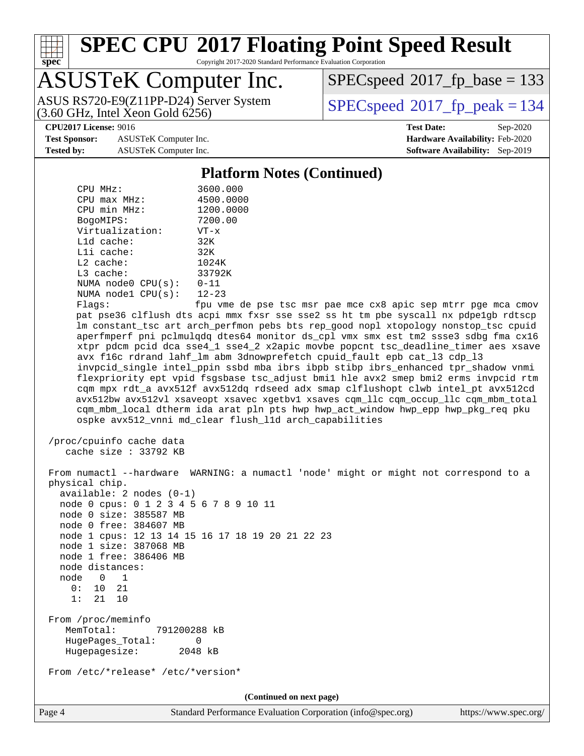

Copyright 2017-2020 Standard Performance Evaluation Corporation

## ASUSTeK Computer Inc.

 $(3.60$  GHz, Intel Xeon Gold  $6256$ ) ASUS RS720-E9(Z11PP-D24) Server System  $SPECspeed^{\circ}2017$  $SPECspeed^{\circ}2017$  fp\_peak = 134

[SPECspeed](http://www.spec.org/auto/cpu2017/Docs/result-fields.html#SPECspeed2017fpbase)<sup>®</sup>2017 fp base = 133

**[Test Sponsor:](http://www.spec.org/auto/cpu2017/Docs/result-fields.html#TestSponsor)** ASUSTeK Computer Inc. **[Hardware Availability:](http://www.spec.org/auto/cpu2017/Docs/result-fields.html#HardwareAvailability)** Feb-2020 **[Tested by:](http://www.spec.org/auto/cpu2017/Docs/result-fields.html#Testedby)** ASUSTeK Computer Inc. **[Software Availability:](http://www.spec.org/auto/cpu2017/Docs/result-fields.html#SoftwareAvailability)** Sep-2019

**[CPU2017 License:](http://www.spec.org/auto/cpu2017/Docs/result-fields.html#CPU2017License)** 9016 **[Test Date:](http://www.spec.org/auto/cpu2017/Docs/result-fields.html#TestDate)** Sep-2020

### **[Platform Notes \(Continued\)](http://www.spec.org/auto/cpu2017/Docs/result-fields.html#PlatformNotes)**

| CPU MHz:                   | 3600.000      |
|----------------------------|---------------|
| $CPIJ$ max $MHz$ :         | 4500.0000     |
| CPU min MHz:               | 1200.0000     |
| BogoMIPS:                  | 7200.00       |
| Virtualization:            | $VT - x$      |
| $L1d$ cache:               | 32K           |
| $L1i$ cache:               | 32K           |
| $L2$ cache:                | 1024K         |
| $L3$ cache:                | 33792K        |
| NUMA $node0$ $CPU(s):$     | $0 - 11$      |
| NUMA nodel $CPU(s): 12-23$ |               |
| --                         | $\sim$ $\sim$ |

Flags: fpu vme de pse tsc msr pae mce cx8 apic sep mtrr pge mca cmov pat pse36 clflush dts acpi mmx fxsr sse sse2 ss ht tm pbe syscall nx pdpe1gb rdtscp lm constant\_tsc art arch\_perfmon pebs bts rep\_good nopl xtopology nonstop\_tsc cpuid aperfmperf pni pclmulqdq dtes64 monitor ds\_cpl vmx smx est tm2 ssse3 sdbg fma cx16 xtpr pdcm pcid dca sse4\_1 sse4\_2 x2apic movbe popcnt tsc\_deadline\_timer aes xsave avx f16c rdrand lahf\_lm abm 3dnowprefetch cpuid\_fault epb cat\_l3 cdp\_l3 invpcid\_single intel\_ppin ssbd mba ibrs ibpb stibp ibrs\_enhanced tpr\_shadow vnmi flexpriority ept vpid fsgsbase tsc\_adjust bmi1 hle avx2 smep bmi2 erms invpcid rtm cqm mpx rdt\_a avx512f avx512dq rdseed adx smap clflushopt clwb intel\_pt avx512cd avx512bw avx512vl xsaveopt xsavec xgetbv1 xsaves cqm\_llc cqm\_occup\_llc cqm\_mbm\_total cqm\_mbm\_local dtherm ida arat pln pts hwp hwp\_act\_window hwp\_epp hwp\_pkg\_req pku ospke avx512\_vnni md\_clear flush\_l1d arch\_capabilities

```
 /proc/cpuinfo cache data
   cache size : 33792 KB
```
 From numactl --hardware WARNING: a numactl 'node' might or might not correspond to a physical chip. available: 2 nodes (0-1) node 0 cpus: 0 1 2 3 4 5 6 7 8 9 10 11 node 0 size: 385587 MB node 0 free: 384607 MB node 1 cpus: 12 13 14 15 16 17 18 19 20 21 22 23 node 1 size: 387068 MB node 1 free: 386406 MB node distances: node 0 1 0: 10 21 1: 21 10 From /proc/meminfo MemTotal: 791200288 kB HugePages\_Total: 0 Hugepagesize: 2048 kB From /etc/\*release\* /etc/\*version\* **(Continued on next page)**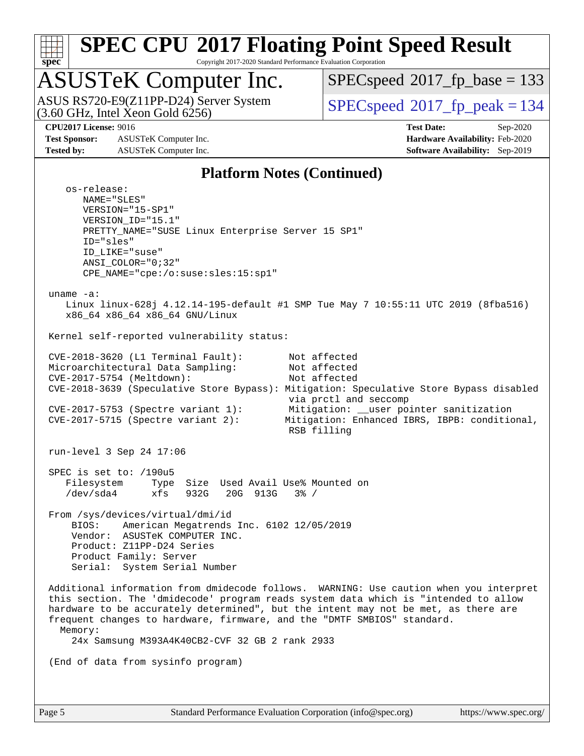

Copyright 2017-2020 Standard Performance Evaluation Corporation

## ASUSTeK Computer Inc.

ASUS RS720-E9(Z11PP-D24) Server System<br>(3.60 GHz, Intel Xeon Gold 6256)

[SPECspeed](http://www.spec.org/auto/cpu2017/Docs/result-fields.html#SPECspeed2017fpbase)<sup>®</sup>2017 fp base = 133

[SPECspeed](http://www.spec.org/auto/cpu2017/Docs/result-fields.html#SPECspeed2017fppeak)<sup>®</sup>2017 fp peak = 134

**[Test Sponsor:](http://www.spec.org/auto/cpu2017/Docs/result-fields.html#TestSponsor)** ASUSTeK Computer Inc. **[Hardware Availability:](http://www.spec.org/auto/cpu2017/Docs/result-fields.html#HardwareAvailability)** Feb-2020 **[Tested by:](http://www.spec.org/auto/cpu2017/Docs/result-fields.html#Testedby)** ASUSTeK Computer Inc. **[Software Availability:](http://www.spec.org/auto/cpu2017/Docs/result-fields.html#SoftwareAvailability)** Sep-2019

**[CPU2017 License:](http://www.spec.org/auto/cpu2017/Docs/result-fields.html#CPU2017License)** 9016 **[Test Date:](http://www.spec.org/auto/cpu2017/Docs/result-fields.html#TestDate)** Sep-2020

### **[Platform Notes \(Continued\)](http://www.spec.org/auto/cpu2017/Docs/result-fields.html#PlatformNotes)**

 os-release: NAME="SLES" VERSION="15-SP1" VERSION\_ID="15.1" PRETTY\_NAME="SUSE Linux Enterprise Server 15 SP1" ID="sles" ID\_LIKE="suse" ANSI\_COLOR="0;32" CPE\_NAME="cpe:/o:suse:sles:15:sp1" uname -a: Linux linux-628j 4.12.14-195-default #1 SMP Tue May 7 10:55:11 UTC 2019 (8fba516) x86\_64 x86\_64 x86\_64 GNU/Linux Kernel self-reported vulnerability status: CVE-2018-3620 (L1 Terminal Fault): Not affected Microarchitectural Data Sampling: Not affected CVE-2017-5754 (Meltdown): Not affected CVE-2018-3639 (Speculative Store Bypass): Mitigation: Speculative Store Bypass disabled via prctl and seccomp CVE-2017-5753 (Spectre variant 1): Mitigation: \_\_user pointer sanitization CVE-2017-5715 (Spectre variant 2): Mitigation: Enhanced IBRS, IBPB: conditional, RSB filling run-level 3 Sep 24 17:06 SPEC is set to: /190u5 Filesystem Type Size Used Avail Use% Mounted on /dev/sda4 xfs 932G 20G 913G 3% / From /sys/devices/virtual/dmi/id BIOS: American Megatrends Inc. 6102 12/05/2019 Vendor: ASUSTeK COMPUTER INC. Product: Z11PP-D24 Series Product Family: Server Serial: System Serial Number Additional information from dmidecode follows. WARNING: Use caution when you interpret this section. The 'dmidecode' program reads system data which is "intended to allow hardware to be accurately determined", but the intent may not be met, as there are frequent changes to hardware, firmware, and the "DMTF SMBIOS" standard. Memory: 24x Samsung M393A4K40CB2-CVF 32 GB 2 rank 2933 (End of data from sysinfo program)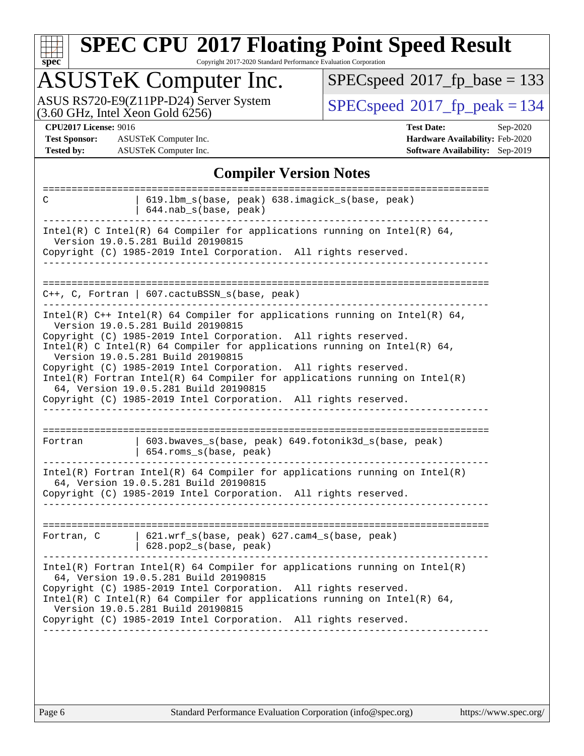

Copyright 2017-2020 Standard Performance Evaluation Corporation

# ASUSTeK Computer Inc.<br>ASUS RS720-E9(Z11PP-D24) Server System

 $(3.60$  GHz, Intel Xeon Gold  $6256$ )

 $SPECspeed^{\circledcirc}2017_fp\_base = 133$  $SPECspeed^{\circledcirc}2017_fp\_base = 133$ 

 $SPEC speed<sup>®</sup>2017_fp\_peak = 134$ 

**[Test Sponsor:](http://www.spec.org/auto/cpu2017/Docs/result-fields.html#TestSponsor)** ASUSTeK Computer Inc. **[Hardware Availability:](http://www.spec.org/auto/cpu2017/Docs/result-fields.html#HardwareAvailability)** Feb-2020 **[Tested by:](http://www.spec.org/auto/cpu2017/Docs/result-fields.html#Testedby)** ASUSTeK Computer Inc. **[Software Availability:](http://www.spec.org/auto/cpu2017/Docs/result-fields.html#SoftwareAvailability)** Sep-2019

**[CPU2017 License:](http://www.spec.org/auto/cpu2017/Docs/result-fields.html#CPU2017License)** 9016 **[Test Date:](http://www.spec.org/auto/cpu2017/Docs/result-fields.html#TestDate)** Sep-2020

### **[Compiler Version Notes](http://www.spec.org/auto/cpu2017/Docs/result-fields.html#CompilerVersionNotes)**

|            | 619.1bm_s(base, peak) 638.imagick_s(base, peak)<br>$644.nab_s(base, peak)$                                                                                                                                                                                                                                                                                                                                                                                                                                                                                           |
|------------|----------------------------------------------------------------------------------------------------------------------------------------------------------------------------------------------------------------------------------------------------------------------------------------------------------------------------------------------------------------------------------------------------------------------------------------------------------------------------------------------------------------------------------------------------------------------|
|            | Intel(R) C Intel(R) 64 Compiler for applications running on Intel(R) 64,<br>Version 19.0.5.281 Build 20190815<br>Copyright (C) 1985-2019 Intel Corporation. All rights reserved.                                                                                                                                                                                                                                                                                                                                                                                     |
|            |                                                                                                                                                                                                                                                                                                                                                                                                                                                                                                                                                                      |
|            | $C++$ , C, Fortran   607.cactuBSSN_s(base, peak)                                                                                                                                                                                                                                                                                                                                                                                                                                                                                                                     |
|            | Intel(R) $C++$ Intel(R) 64 Compiler for applications running on Intel(R) 64,<br>Version 19.0.5.281 Build 20190815<br>Copyright (C) 1985-2019 Intel Corporation. All rights reserved.<br>Intel(R) C Intel(R) 64 Compiler for applications running on Intel(R) 64,<br>Version 19.0.5.281 Build 20190815<br>Copyright (C) 1985-2019 Intel Corporation. All rights reserved.<br>$Intel(R)$ Fortran Intel(R) 64 Compiler for applications running on Intel(R)<br>64, Version 19.0.5.281 Build 20190815<br>Copyright (C) 1985-2019 Intel Corporation. All rights reserved. |
|            |                                                                                                                                                                                                                                                                                                                                                                                                                                                                                                                                                                      |
| Fortran    | 603.bwaves_s(base, peak) 649.fotonik3d_s(base, peak)<br>654.roms_s(base, peak)                                                                                                                                                                                                                                                                                                                                                                                                                                                                                       |
|            | $Intel(R)$ Fortran Intel(R) 64 Compiler for applications running on Intel(R)<br>64, Version 19.0.5.281 Build 20190815<br>Copyright (C) 1985-2019 Intel Corporation. All rights reserved.                                                                                                                                                                                                                                                                                                                                                                             |
|            |                                                                                                                                                                                                                                                                                                                                                                                                                                                                                                                                                                      |
| Fortran, C | 621.wrf_s(base, peak) 627.cam4_s(base, peak)<br>628.pop2_s(base, peak)                                                                                                                                                                                                                                                                                                                                                                                                                                                                                               |
|            | $Intel(R)$ Fortran Intel(R) 64 Compiler for applications running on Intel(R)<br>64, Version 19.0.5.281 Build 20190815<br>Copyright (C) 1985-2019 Intel Corporation. All rights reserved.<br>Intel(R) C Intel(R) 64 Compiler for applications running on Intel(R) 64,<br>Version 19.0.5.281 Build 20190815<br>Copyright (C) 1985-2019 Intel Corporation. All rights reserved.                                                                                                                                                                                         |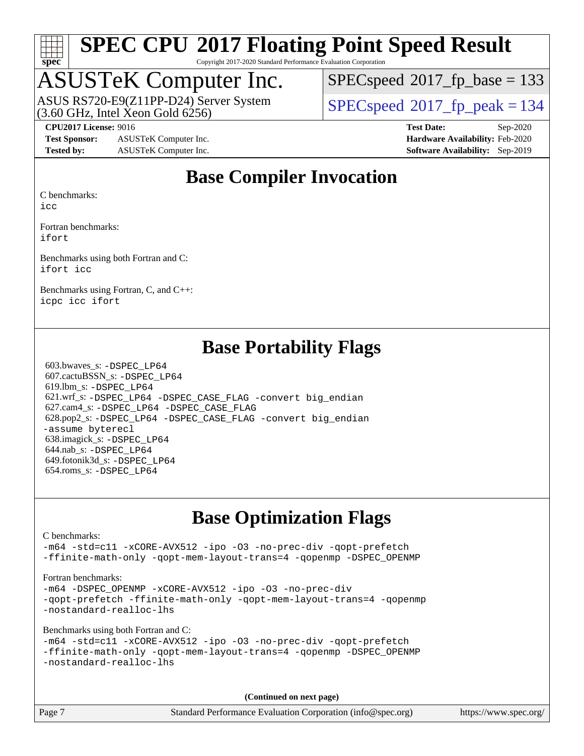

Copyright 2017-2020 Standard Performance Evaluation Corporation

### ASUSTeK Computer Inc.

 $(3.60$  GHz, Intel Xeon Gold  $6256$ ) ASUS RS720-E9(Z11PP-D24) Server System  $SPECspeed@2017$  $SPECspeed@2017$  fp\_peak = 134

[SPECspeed](http://www.spec.org/auto/cpu2017/Docs/result-fields.html#SPECspeed2017fpbase)<sup>®</sup>2017 fp base = 133

**[Test Sponsor:](http://www.spec.org/auto/cpu2017/Docs/result-fields.html#TestSponsor)** ASUSTeK Computer Inc. **[Hardware Availability:](http://www.spec.org/auto/cpu2017/Docs/result-fields.html#HardwareAvailability)** Feb-2020 **[Tested by:](http://www.spec.org/auto/cpu2017/Docs/result-fields.html#Testedby)** ASUSTeK Computer Inc. **[Software Availability:](http://www.spec.org/auto/cpu2017/Docs/result-fields.html#SoftwareAvailability)** Sep-2019

**[CPU2017 License:](http://www.spec.org/auto/cpu2017/Docs/result-fields.html#CPU2017License)** 9016 **[Test Date:](http://www.spec.org/auto/cpu2017/Docs/result-fields.html#TestDate)** Sep-2020

### **[Base Compiler Invocation](http://www.spec.org/auto/cpu2017/Docs/result-fields.html#BaseCompilerInvocation)**

[C benchmarks:](http://www.spec.org/auto/cpu2017/Docs/result-fields.html#Cbenchmarks)

[icc](http://www.spec.org/cpu2017/results/res2020q4/cpu2017-20201023-24247.flags.html#user_CCbase_intel_icc_66fc1ee009f7361af1fbd72ca7dcefbb700085f36577c54f309893dd4ec40d12360134090235512931783d35fd58c0460139e722d5067c5574d8eaf2b3e37e92)

[Fortran benchmarks](http://www.spec.org/auto/cpu2017/Docs/result-fields.html#Fortranbenchmarks): [ifort](http://www.spec.org/cpu2017/results/res2020q4/cpu2017-20201023-24247.flags.html#user_FCbase_intel_ifort_8111460550e3ca792625aed983ce982f94888b8b503583aa7ba2b8303487b4d8a21a13e7191a45c5fd58ff318f48f9492884d4413fa793fd88dd292cad7027ca)

[Benchmarks using both Fortran and C:](http://www.spec.org/auto/cpu2017/Docs/result-fields.html#BenchmarksusingbothFortranandC) [ifort](http://www.spec.org/cpu2017/results/res2020q4/cpu2017-20201023-24247.flags.html#user_CC_FCbase_intel_ifort_8111460550e3ca792625aed983ce982f94888b8b503583aa7ba2b8303487b4d8a21a13e7191a45c5fd58ff318f48f9492884d4413fa793fd88dd292cad7027ca) [icc](http://www.spec.org/cpu2017/results/res2020q4/cpu2017-20201023-24247.flags.html#user_CC_FCbase_intel_icc_66fc1ee009f7361af1fbd72ca7dcefbb700085f36577c54f309893dd4ec40d12360134090235512931783d35fd58c0460139e722d5067c5574d8eaf2b3e37e92)

[Benchmarks using Fortran, C, and C++:](http://www.spec.org/auto/cpu2017/Docs/result-fields.html#BenchmarksusingFortranCandCXX) [icpc](http://www.spec.org/cpu2017/results/res2020q4/cpu2017-20201023-24247.flags.html#user_CC_CXX_FCbase_intel_icpc_c510b6838c7f56d33e37e94d029a35b4a7bccf4766a728ee175e80a419847e808290a9b78be685c44ab727ea267ec2f070ec5dc83b407c0218cded6866a35d07) [icc](http://www.spec.org/cpu2017/results/res2020q4/cpu2017-20201023-24247.flags.html#user_CC_CXX_FCbase_intel_icc_66fc1ee009f7361af1fbd72ca7dcefbb700085f36577c54f309893dd4ec40d12360134090235512931783d35fd58c0460139e722d5067c5574d8eaf2b3e37e92) [ifort](http://www.spec.org/cpu2017/results/res2020q4/cpu2017-20201023-24247.flags.html#user_CC_CXX_FCbase_intel_ifort_8111460550e3ca792625aed983ce982f94888b8b503583aa7ba2b8303487b4d8a21a13e7191a45c5fd58ff318f48f9492884d4413fa793fd88dd292cad7027ca)

### **[Base Portability Flags](http://www.spec.org/auto/cpu2017/Docs/result-fields.html#BasePortabilityFlags)**

 603.bwaves\_s: [-DSPEC\\_LP64](http://www.spec.org/cpu2017/results/res2020q4/cpu2017-20201023-24247.flags.html#suite_basePORTABILITY603_bwaves_s_DSPEC_LP64) 607.cactuBSSN\_s: [-DSPEC\\_LP64](http://www.spec.org/cpu2017/results/res2020q4/cpu2017-20201023-24247.flags.html#suite_basePORTABILITY607_cactuBSSN_s_DSPEC_LP64) 619.lbm\_s: [-DSPEC\\_LP64](http://www.spec.org/cpu2017/results/res2020q4/cpu2017-20201023-24247.flags.html#suite_basePORTABILITY619_lbm_s_DSPEC_LP64) 621.wrf\_s: [-DSPEC\\_LP64](http://www.spec.org/cpu2017/results/res2020q4/cpu2017-20201023-24247.flags.html#suite_basePORTABILITY621_wrf_s_DSPEC_LP64) [-DSPEC\\_CASE\\_FLAG](http://www.spec.org/cpu2017/results/res2020q4/cpu2017-20201023-24247.flags.html#b621.wrf_s_baseCPORTABILITY_DSPEC_CASE_FLAG) [-convert big\\_endian](http://www.spec.org/cpu2017/results/res2020q4/cpu2017-20201023-24247.flags.html#user_baseFPORTABILITY621_wrf_s_convert_big_endian_c3194028bc08c63ac5d04de18c48ce6d347e4e562e8892b8bdbdc0214820426deb8554edfa529a3fb25a586e65a3d812c835984020483e7e73212c4d31a38223) 627.cam4\_s: [-DSPEC\\_LP64](http://www.spec.org/cpu2017/results/res2020q4/cpu2017-20201023-24247.flags.html#suite_basePORTABILITY627_cam4_s_DSPEC_LP64) [-DSPEC\\_CASE\\_FLAG](http://www.spec.org/cpu2017/results/res2020q4/cpu2017-20201023-24247.flags.html#b627.cam4_s_baseCPORTABILITY_DSPEC_CASE_FLAG) 628.pop2\_s: [-DSPEC\\_LP64](http://www.spec.org/cpu2017/results/res2020q4/cpu2017-20201023-24247.flags.html#suite_basePORTABILITY628_pop2_s_DSPEC_LP64) [-DSPEC\\_CASE\\_FLAG](http://www.spec.org/cpu2017/results/res2020q4/cpu2017-20201023-24247.flags.html#b628.pop2_s_baseCPORTABILITY_DSPEC_CASE_FLAG) [-convert big\\_endian](http://www.spec.org/cpu2017/results/res2020q4/cpu2017-20201023-24247.flags.html#user_baseFPORTABILITY628_pop2_s_convert_big_endian_c3194028bc08c63ac5d04de18c48ce6d347e4e562e8892b8bdbdc0214820426deb8554edfa529a3fb25a586e65a3d812c835984020483e7e73212c4d31a38223) [-assume byterecl](http://www.spec.org/cpu2017/results/res2020q4/cpu2017-20201023-24247.flags.html#user_baseFPORTABILITY628_pop2_s_assume_byterecl_7e47d18b9513cf18525430bbf0f2177aa9bf368bc7a059c09b2c06a34b53bd3447c950d3f8d6c70e3faf3a05c8557d66a5798b567902e8849adc142926523472) 638.imagick\_s: [-DSPEC\\_LP64](http://www.spec.org/cpu2017/results/res2020q4/cpu2017-20201023-24247.flags.html#suite_basePORTABILITY638_imagick_s_DSPEC_LP64) 644.nab\_s: [-DSPEC\\_LP64](http://www.spec.org/cpu2017/results/res2020q4/cpu2017-20201023-24247.flags.html#suite_basePORTABILITY644_nab_s_DSPEC_LP64) 649.fotonik3d\_s: [-DSPEC\\_LP64](http://www.spec.org/cpu2017/results/res2020q4/cpu2017-20201023-24247.flags.html#suite_basePORTABILITY649_fotonik3d_s_DSPEC_LP64) 654.roms\_s: [-DSPEC\\_LP64](http://www.spec.org/cpu2017/results/res2020q4/cpu2017-20201023-24247.flags.html#suite_basePORTABILITY654_roms_s_DSPEC_LP64)

### **[Base Optimization Flags](http://www.spec.org/auto/cpu2017/Docs/result-fields.html#BaseOptimizationFlags)**

[C benchmarks](http://www.spec.org/auto/cpu2017/Docs/result-fields.html#Cbenchmarks):

[-m64](http://www.spec.org/cpu2017/results/res2020q4/cpu2017-20201023-24247.flags.html#user_CCbase_m64-icc) [-std=c11](http://www.spec.org/cpu2017/results/res2020q4/cpu2017-20201023-24247.flags.html#user_CCbase_std-icc-std_0e1c27790398a4642dfca32ffe6c27b5796f9c2d2676156f2e42c9c44eaad0c049b1cdb667a270c34d979996257aeb8fc440bfb01818dbc9357bd9d174cb8524) [-xCORE-AVX512](http://www.spec.org/cpu2017/results/res2020q4/cpu2017-20201023-24247.flags.html#user_CCbase_f-xCORE-AVX512) [-ipo](http://www.spec.org/cpu2017/results/res2020q4/cpu2017-20201023-24247.flags.html#user_CCbase_f-ipo) [-O3](http://www.spec.org/cpu2017/results/res2020q4/cpu2017-20201023-24247.flags.html#user_CCbase_f-O3) [-no-prec-div](http://www.spec.org/cpu2017/results/res2020q4/cpu2017-20201023-24247.flags.html#user_CCbase_f-no-prec-div) [-qopt-prefetch](http://www.spec.org/cpu2017/results/res2020q4/cpu2017-20201023-24247.flags.html#user_CCbase_f-qopt-prefetch) [-ffinite-math-only](http://www.spec.org/cpu2017/results/res2020q4/cpu2017-20201023-24247.flags.html#user_CCbase_f_finite_math_only_cb91587bd2077682c4b38af759c288ed7c732db004271a9512da14a4f8007909a5f1427ecbf1a0fb78ff2a814402c6114ac565ca162485bbcae155b5e4258871) [-qopt-mem-layout-trans=4](http://www.spec.org/cpu2017/results/res2020q4/cpu2017-20201023-24247.flags.html#user_CCbase_f-qopt-mem-layout-trans_fa39e755916c150a61361b7846f310bcdf6f04e385ef281cadf3647acec3f0ae266d1a1d22d972a7087a248fd4e6ca390a3634700869573d231a252c784941a8) [-qopenmp](http://www.spec.org/cpu2017/results/res2020q4/cpu2017-20201023-24247.flags.html#user_CCbase_qopenmp_16be0c44f24f464004c6784a7acb94aca937f053568ce72f94b139a11c7c168634a55f6653758ddd83bcf7b8463e8028bb0b48b77bcddc6b78d5d95bb1df2967) [-DSPEC\\_OPENMP](http://www.spec.org/cpu2017/results/res2020q4/cpu2017-20201023-24247.flags.html#suite_CCbase_DSPEC_OPENMP)

[Fortran benchmarks](http://www.spec.org/auto/cpu2017/Docs/result-fields.html#Fortranbenchmarks):

[-m64](http://www.spec.org/cpu2017/results/res2020q4/cpu2017-20201023-24247.flags.html#user_FCbase_m64-icc) [-DSPEC\\_OPENMP](http://www.spec.org/cpu2017/results/res2020q4/cpu2017-20201023-24247.flags.html#suite_FCbase_DSPEC_OPENMP) [-xCORE-AVX512](http://www.spec.org/cpu2017/results/res2020q4/cpu2017-20201023-24247.flags.html#user_FCbase_f-xCORE-AVX512) [-ipo](http://www.spec.org/cpu2017/results/res2020q4/cpu2017-20201023-24247.flags.html#user_FCbase_f-ipo) [-O3](http://www.spec.org/cpu2017/results/res2020q4/cpu2017-20201023-24247.flags.html#user_FCbase_f-O3) [-no-prec-div](http://www.spec.org/cpu2017/results/res2020q4/cpu2017-20201023-24247.flags.html#user_FCbase_f-no-prec-div) [-qopt-prefetch](http://www.spec.org/cpu2017/results/res2020q4/cpu2017-20201023-24247.flags.html#user_FCbase_f-qopt-prefetch) [-ffinite-math-only](http://www.spec.org/cpu2017/results/res2020q4/cpu2017-20201023-24247.flags.html#user_FCbase_f_finite_math_only_cb91587bd2077682c4b38af759c288ed7c732db004271a9512da14a4f8007909a5f1427ecbf1a0fb78ff2a814402c6114ac565ca162485bbcae155b5e4258871) [-qopt-mem-layout-trans=4](http://www.spec.org/cpu2017/results/res2020q4/cpu2017-20201023-24247.flags.html#user_FCbase_f-qopt-mem-layout-trans_fa39e755916c150a61361b7846f310bcdf6f04e385ef281cadf3647acec3f0ae266d1a1d22d972a7087a248fd4e6ca390a3634700869573d231a252c784941a8) [-qopenmp](http://www.spec.org/cpu2017/results/res2020q4/cpu2017-20201023-24247.flags.html#user_FCbase_qopenmp_16be0c44f24f464004c6784a7acb94aca937f053568ce72f94b139a11c7c168634a55f6653758ddd83bcf7b8463e8028bb0b48b77bcddc6b78d5d95bb1df2967) [-nostandard-realloc-lhs](http://www.spec.org/cpu2017/results/res2020q4/cpu2017-20201023-24247.flags.html#user_FCbase_f_2003_std_realloc_82b4557e90729c0f113870c07e44d33d6f5a304b4f63d4c15d2d0f1fab99f5daaed73bdb9275d9ae411527f28b936061aa8b9c8f2d63842963b95c9dd6426b8a)

[Benchmarks using both Fortran and C](http://www.spec.org/auto/cpu2017/Docs/result-fields.html#BenchmarksusingbothFortranandC):

```
-m64 -std=c11 -xCORE-AVX512 -ipo -O3 -no-prec-div -qopt-prefetch
-ffinite-math-only -qopt-mem-layout-trans=4 -qopenmp -DSPEC_OPENMP
-nostandard-realloc-lhs
```
**(Continued on next page)**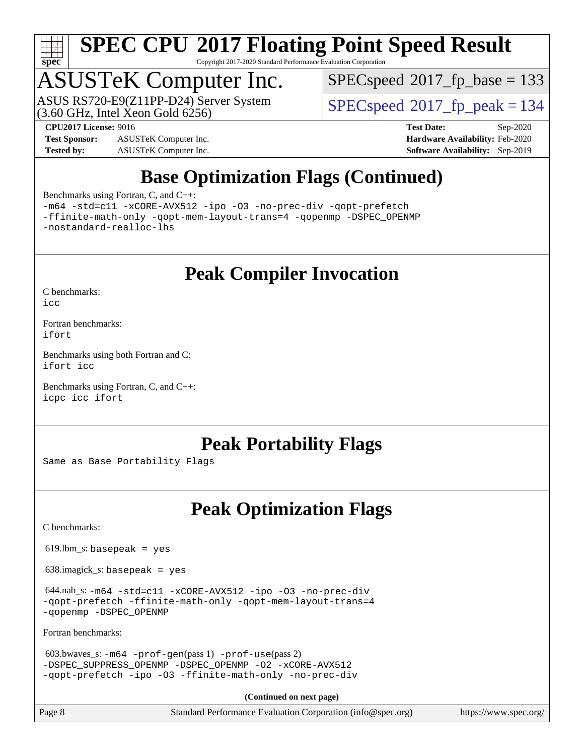

Copyright 2017-2020 Standard Performance Evaluation Corporation

## ASUSTeK Computer Inc.

 $(3.60$  GHz, Intel Xeon Gold  $6256$ ) ASUS RS720-E9(Z11PP-D24) Server System  $SPECspeed@2017$  $SPECspeed@2017$  fp\_peak = 134

[SPECspeed](http://www.spec.org/auto/cpu2017/Docs/result-fields.html#SPECspeed2017fpbase)<sup>®</sup>2017 fp base = 133

**[Test Sponsor:](http://www.spec.org/auto/cpu2017/Docs/result-fields.html#TestSponsor)** ASUSTeK Computer Inc. **[Hardware Availability:](http://www.spec.org/auto/cpu2017/Docs/result-fields.html#HardwareAvailability)** Feb-2020 **[Tested by:](http://www.spec.org/auto/cpu2017/Docs/result-fields.html#Testedby)** ASUSTeK Computer Inc. **[Software Availability:](http://www.spec.org/auto/cpu2017/Docs/result-fields.html#SoftwareAvailability)** Sep-2019

**[CPU2017 License:](http://www.spec.org/auto/cpu2017/Docs/result-fields.html#CPU2017License)** 9016 **[Test Date:](http://www.spec.org/auto/cpu2017/Docs/result-fields.html#TestDate)** Sep-2020

### **[Base Optimization Flags \(Continued\)](http://www.spec.org/auto/cpu2017/Docs/result-fields.html#BaseOptimizationFlags)**

[Benchmarks using Fortran, C, and C++:](http://www.spec.org/auto/cpu2017/Docs/result-fields.html#BenchmarksusingFortranCandCXX)

[-m64](http://www.spec.org/cpu2017/results/res2020q4/cpu2017-20201023-24247.flags.html#user_CC_CXX_FCbase_m64-icc) [-std=c11](http://www.spec.org/cpu2017/results/res2020q4/cpu2017-20201023-24247.flags.html#user_CC_CXX_FCbase_std-icc-std_0e1c27790398a4642dfca32ffe6c27b5796f9c2d2676156f2e42c9c44eaad0c049b1cdb667a270c34d979996257aeb8fc440bfb01818dbc9357bd9d174cb8524) [-xCORE-AVX512](http://www.spec.org/cpu2017/results/res2020q4/cpu2017-20201023-24247.flags.html#user_CC_CXX_FCbase_f-xCORE-AVX512) [-ipo](http://www.spec.org/cpu2017/results/res2020q4/cpu2017-20201023-24247.flags.html#user_CC_CXX_FCbase_f-ipo) [-O3](http://www.spec.org/cpu2017/results/res2020q4/cpu2017-20201023-24247.flags.html#user_CC_CXX_FCbase_f-O3) [-no-prec-div](http://www.spec.org/cpu2017/results/res2020q4/cpu2017-20201023-24247.flags.html#user_CC_CXX_FCbase_f-no-prec-div) [-qopt-prefetch](http://www.spec.org/cpu2017/results/res2020q4/cpu2017-20201023-24247.flags.html#user_CC_CXX_FCbase_f-qopt-prefetch) [-ffinite-math-only](http://www.spec.org/cpu2017/results/res2020q4/cpu2017-20201023-24247.flags.html#user_CC_CXX_FCbase_f_finite_math_only_cb91587bd2077682c4b38af759c288ed7c732db004271a9512da14a4f8007909a5f1427ecbf1a0fb78ff2a814402c6114ac565ca162485bbcae155b5e4258871) [-qopt-mem-layout-trans=4](http://www.spec.org/cpu2017/results/res2020q4/cpu2017-20201023-24247.flags.html#user_CC_CXX_FCbase_f-qopt-mem-layout-trans_fa39e755916c150a61361b7846f310bcdf6f04e385ef281cadf3647acec3f0ae266d1a1d22d972a7087a248fd4e6ca390a3634700869573d231a252c784941a8) [-qopenmp](http://www.spec.org/cpu2017/results/res2020q4/cpu2017-20201023-24247.flags.html#user_CC_CXX_FCbase_qopenmp_16be0c44f24f464004c6784a7acb94aca937f053568ce72f94b139a11c7c168634a55f6653758ddd83bcf7b8463e8028bb0b48b77bcddc6b78d5d95bb1df2967) [-DSPEC\\_OPENMP](http://www.spec.org/cpu2017/results/res2020q4/cpu2017-20201023-24247.flags.html#suite_CC_CXX_FCbase_DSPEC_OPENMP) [-nostandard-realloc-lhs](http://www.spec.org/cpu2017/results/res2020q4/cpu2017-20201023-24247.flags.html#user_CC_CXX_FCbase_f_2003_std_realloc_82b4557e90729c0f113870c07e44d33d6f5a304b4f63d4c15d2d0f1fab99f5daaed73bdb9275d9ae411527f28b936061aa8b9c8f2d63842963b95c9dd6426b8a)

**[Peak Compiler Invocation](http://www.spec.org/auto/cpu2017/Docs/result-fields.html#PeakCompilerInvocation)**

[C benchmarks](http://www.spec.org/auto/cpu2017/Docs/result-fields.html#Cbenchmarks):

[icc](http://www.spec.org/cpu2017/results/res2020q4/cpu2017-20201023-24247.flags.html#user_CCpeak_intel_icc_66fc1ee009f7361af1fbd72ca7dcefbb700085f36577c54f309893dd4ec40d12360134090235512931783d35fd58c0460139e722d5067c5574d8eaf2b3e37e92)

[Fortran benchmarks](http://www.spec.org/auto/cpu2017/Docs/result-fields.html#Fortranbenchmarks): [ifort](http://www.spec.org/cpu2017/results/res2020q4/cpu2017-20201023-24247.flags.html#user_FCpeak_intel_ifort_8111460550e3ca792625aed983ce982f94888b8b503583aa7ba2b8303487b4d8a21a13e7191a45c5fd58ff318f48f9492884d4413fa793fd88dd292cad7027ca)

[Benchmarks using both Fortran and C](http://www.spec.org/auto/cpu2017/Docs/result-fields.html#BenchmarksusingbothFortranandC): [ifort](http://www.spec.org/cpu2017/results/res2020q4/cpu2017-20201023-24247.flags.html#user_CC_FCpeak_intel_ifort_8111460550e3ca792625aed983ce982f94888b8b503583aa7ba2b8303487b4d8a21a13e7191a45c5fd58ff318f48f9492884d4413fa793fd88dd292cad7027ca) [icc](http://www.spec.org/cpu2017/results/res2020q4/cpu2017-20201023-24247.flags.html#user_CC_FCpeak_intel_icc_66fc1ee009f7361af1fbd72ca7dcefbb700085f36577c54f309893dd4ec40d12360134090235512931783d35fd58c0460139e722d5067c5574d8eaf2b3e37e92)

[Benchmarks using Fortran, C, and C++:](http://www.spec.org/auto/cpu2017/Docs/result-fields.html#BenchmarksusingFortranCandCXX) [icpc](http://www.spec.org/cpu2017/results/res2020q4/cpu2017-20201023-24247.flags.html#user_CC_CXX_FCpeak_intel_icpc_c510b6838c7f56d33e37e94d029a35b4a7bccf4766a728ee175e80a419847e808290a9b78be685c44ab727ea267ec2f070ec5dc83b407c0218cded6866a35d07) [icc](http://www.spec.org/cpu2017/results/res2020q4/cpu2017-20201023-24247.flags.html#user_CC_CXX_FCpeak_intel_icc_66fc1ee009f7361af1fbd72ca7dcefbb700085f36577c54f309893dd4ec40d12360134090235512931783d35fd58c0460139e722d5067c5574d8eaf2b3e37e92) [ifort](http://www.spec.org/cpu2017/results/res2020q4/cpu2017-20201023-24247.flags.html#user_CC_CXX_FCpeak_intel_ifort_8111460550e3ca792625aed983ce982f94888b8b503583aa7ba2b8303487b4d8a21a13e7191a45c5fd58ff318f48f9492884d4413fa793fd88dd292cad7027ca)

### **[Peak Portability Flags](http://www.spec.org/auto/cpu2017/Docs/result-fields.html#PeakPortabilityFlags)**

Same as Base Portability Flags

### **[Peak Optimization Flags](http://www.spec.org/auto/cpu2017/Docs/result-fields.html#PeakOptimizationFlags)**

[C benchmarks](http://www.spec.org/auto/cpu2017/Docs/result-fields.html#Cbenchmarks):

 $619.$ lbm\_s: basepeak = yes

638.imagick\_s: basepeak = yes

 644.nab\_s: [-m64](http://www.spec.org/cpu2017/results/res2020q4/cpu2017-20201023-24247.flags.html#user_peakCCLD644_nab_s_m64-icc) [-std=c11](http://www.spec.org/cpu2017/results/res2020q4/cpu2017-20201023-24247.flags.html#user_peakCCLD644_nab_s_std-icc-std_0e1c27790398a4642dfca32ffe6c27b5796f9c2d2676156f2e42c9c44eaad0c049b1cdb667a270c34d979996257aeb8fc440bfb01818dbc9357bd9d174cb8524) [-xCORE-AVX512](http://www.spec.org/cpu2017/results/res2020q4/cpu2017-20201023-24247.flags.html#user_peakCOPTIMIZE644_nab_s_f-xCORE-AVX512) [-ipo](http://www.spec.org/cpu2017/results/res2020q4/cpu2017-20201023-24247.flags.html#user_peakCOPTIMIZE644_nab_s_f-ipo) [-O3](http://www.spec.org/cpu2017/results/res2020q4/cpu2017-20201023-24247.flags.html#user_peakCOPTIMIZE644_nab_s_f-O3) [-no-prec-div](http://www.spec.org/cpu2017/results/res2020q4/cpu2017-20201023-24247.flags.html#user_peakCOPTIMIZE644_nab_s_f-no-prec-div) [-qopt-prefetch](http://www.spec.org/cpu2017/results/res2020q4/cpu2017-20201023-24247.flags.html#user_peakCOPTIMIZE644_nab_s_f-qopt-prefetch) [-ffinite-math-only](http://www.spec.org/cpu2017/results/res2020q4/cpu2017-20201023-24247.flags.html#user_peakCOPTIMIZE644_nab_s_f_finite_math_only_cb91587bd2077682c4b38af759c288ed7c732db004271a9512da14a4f8007909a5f1427ecbf1a0fb78ff2a814402c6114ac565ca162485bbcae155b5e4258871) [-qopt-mem-layout-trans=4](http://www.spec.org/cpu2017/results/res2020q4/cpu2017-20201023-24247.flags.html#user_peakCOPTIMIZE644_nab_s_f-qopt-mem-layout-trans_fa39e755916c150a61361b7846f310bcdf6f04e385ef281cadf3647acec3f0ae266d1a1d22d972a7087a248fd4e6ca390a3634700869573d231a252c784941a8) [-qopenmp](http://www.spec.org/cpu2017/results/res2020q4/cpu2017-20201023-24247.flags.html#user_peakCOPTIMIZE644_nab_s_qopenmp_16be0c44f24f464004c6784a7acb94aca937f053568ce72f94b139a11c7c168634a55f6653758ddd83bcf7b8463e8028bb0b48b77bcddc6b78d5d95bb1df2967) [-DSPEC\\_OPENMP](http://www.spec.org/cpu2017/results/res2020q4/cpu2017-20201023-24247.flags.html#suite_peakCOPTIMIZE644_nab_s_DSPEC_OPENMP)

[Fortran benchmarks](http://www.spec.org/auto/cpu2017/Docs/result-fields.html#Fortranbenchmarks):

```
 603.bwaves_s: -m64 -prof-gen(pass 1) -prof-use(pass 2)
-DSPEC_SUPPRESS_OPENMP -DSPEC_OPENMP -O2 -xCORE-AVX512
-qopt-prefetch -ipo -O3 -ffinite-math-only -no-prec-div
```
**(Continued on next page)**

Page 8 Standard Performance Evaluation Corporation [\(info@spec.org\)](mailto:info@spec.org) <https://www.spec.org/>